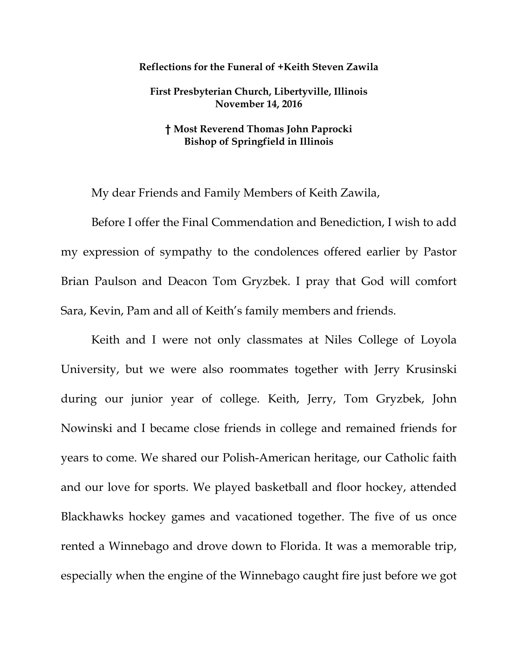## **Reflections for the Funeral of +Keith Steven Zawila**

## **First Presbyterian Church, Libertyville, Illinois November 14, 2016**

## **† Most Reverend Thomas John Paprocki Bishop of Springfield in Illinois**

My dear Friends and Family Members of Keith Zawila,

Before I offer the Final Commendation and Benediction, I wish to add my expression of sympathy to the condolences offered earlier by Pastor Brian Paulson and Deacon Tom Gryzbek. I pray that God will comfort Sara, Kevin, Pam and all of Keith's family members and friends.

Keith and I were not only classmates at Niles College of Loyola University, but we were also roommates together with Jerry Krusinski during our junior year of college. Keith, Jerry, Tom Gryzbek, John Nowinski and I became close friends in college and remained friends for years to come. We shared our Polish-American heritage, our Catholic faith and our love for sports. We played basketball and floor hockey, attended Blackhawks hockey games and vacationed together. The five of us once rented a Winnebago and drove down to Florida. It was a memorable trip, especially when the engine of the Winnebago caught fire just before we got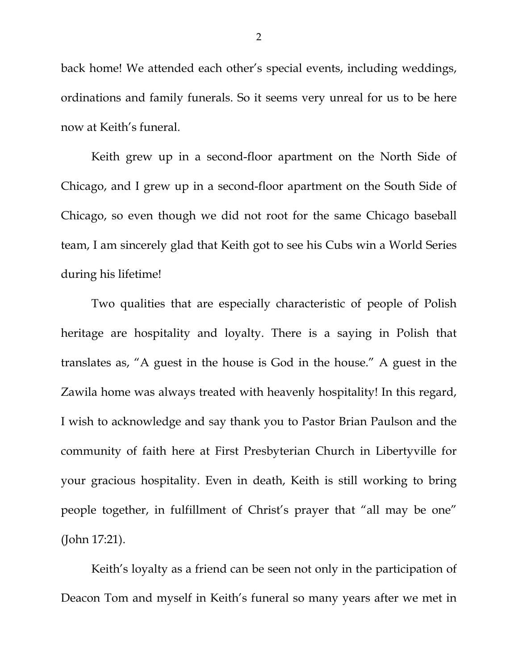back home! We attended each other's special events, including weddings, ordinations and family funerals. So it seems very unreal for us to be here now at Keith's funeral.

Keith grew up in a second-floor apartment on the North Side of Chicago, and I grew up in a second-floor apartment on the South Side of Chicago, so even though we did not root for the same Chicago baseball team, I am sincerely glad that Keith got to see his Cubs win a World Series during his lifetime!

Two qualities that are especially characteristic of people of Polish heritage are hospitality and loyalty. There is a saying in Polish that translates as, "A guest in the house is God in the house." A guest in the Zawila home was always treated with heavenly hospitality! In this regard, I wish to acknowledge and say thank you to Pastor Brian Paulson and the community of faith here at First Presbyterian Church in Libertyville for your gracious hospitality. Even in death, Keith is still working to bring people together, in fulfillment of Christ's prayer that "all may be one" (John 17:21).

Keith's loyalty as a friend can be seen not only in the participation of Deacon Tom and myself in Keith's funeral so many years after we met in

2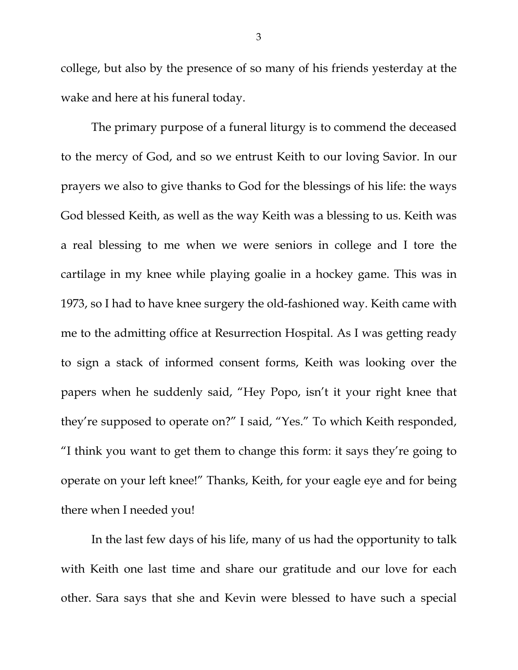college, but also by the presence of so many of his friends yesterday at the wake and here at his funeral today.

The primary purpose of a funeral liturgy is to commend the deceased to the mercy of God, and so we entrust Keith to our loving Savior. In our prayers we also to give thanks to God for the blessings of his life: the ways God blessed Keith, as well as the way Keith was a blessing to us. Keith was a real blessing to me when we were seniors in college and I tore the cartilage in my knee while playing goalie in a hockey game. This was in 1973, so I had to have knee surgery the old-fashioned way. Keith came with me to the admitting office at Resurrection Hospital. As I was getting ready to sign a stack of informed consent forms, Keith was looking over the papers when he suddenly said, "Hey Popo, isn't it your right knee that they're supposed to operate on?" I said, "Yes." To which Keith responded, "I think you want to get them to change this form: it says they're going to operate on your left knee!" Thanks, Keith, for your eagle eye and for being there when I needed you!

In the last few days of his life, many of us had the opportunity to talk with Keith one last time and share our gratitude and our love for each other. Sara says that she and Kevin were blessed to have such a special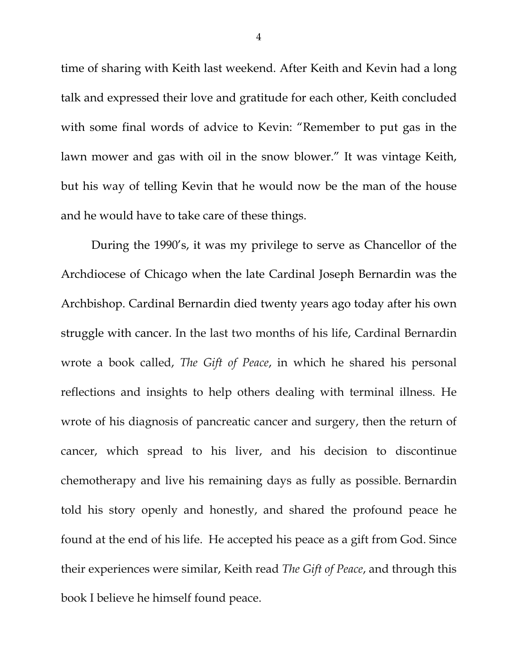time of sharing with Keith last weekend. After Keith and Kevin had a long talk and expressed their love and gratitude for each other, Keith concluded with some final words of advice to Kevin: "Remember to put gas in the lawn mower and gas with oil in the snow blower." It was vintage Keith, but his way of telling Kevin that he would now be the man of the house and he would have to take care of these things.

During the 1990's, it was my privilege to serve as Chancellor of the Archdiocese of Chicago when the late Cardinal Joseph Bernardin was the Archbishop. Cardinal Bernardin died twenty years ago today after his own struggle with cancer. In the last two months of his life, Cardinal Bernardin wrote a book called, *The Gift of Peace*, in which he shared his personal reflections and insights to help others dealing with terminal illness. He wrote of his diagnosis of pancreatic cancer and surgery, then the return of cancer, which spread to his liver, and his decision to discontinue chemotherapy and live his remaining days as fully as possible. Bernardin told his story openly and honestly, and shared the profound peace he found at the end of his life. He accepted his peace as a gift from God. Since their experiences were similar, Keith read *The Gift of Peace*, and through this book I believe he himself found peace.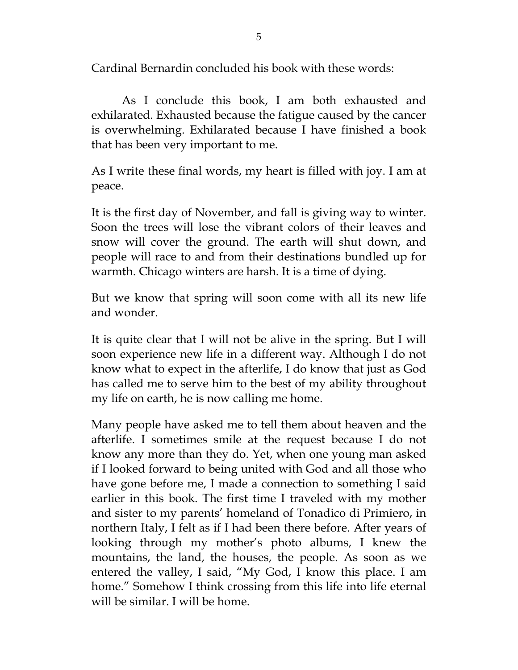Cardinal Bernardin concluded his book with these words:

As I conclude this book, I am both exhausted and exhilarated. Exhausted because the fatigue caused by the cancer is overwhelming. Exhilarated because I have finished a book that has been very important to me.

As I write these final words, my heart is filled with joy. I am at peace.

It is the first day of November, and fall is giving way to winter. Soon the trees will lose the vibrant colors of their leaves and snow will cover the ground. The earth will shut down, and people will race to and from their destinations bundled up for warmth. Chicago winters are harsh. It is a time of dying.

But we know that spring will soon come with all its new life and wonder.

It is quite clear that I will not be alive in the spring. But I will soon experience new life in a different way. Although I do not know what to expect in the afterlife, I do know that just as God has called me to serve him to the best of my ability throughout my life on earth, he is now calling me home.

Many people have asked me to tell them about heaven and the afterlife. I sometimes smile at the request because I do not know any more than they do. Yet, when one young man asked if I looked forward to being united with God and all those who have gone before me, I made a connection to something I said earlier in this book. The first time I traveled with my mother and sister to my parents' homeland of Tonadico di Primiero, in northern Italy, I felt as if I had been there before. After years of looking through my mother's photo albums, I knew the mountains, the land, the houses, the people. As soon as we entered the valley, I said, "My God, I know this place. I am home." Somehow I think crossing from this life into life eternal will be similar. I will be home.